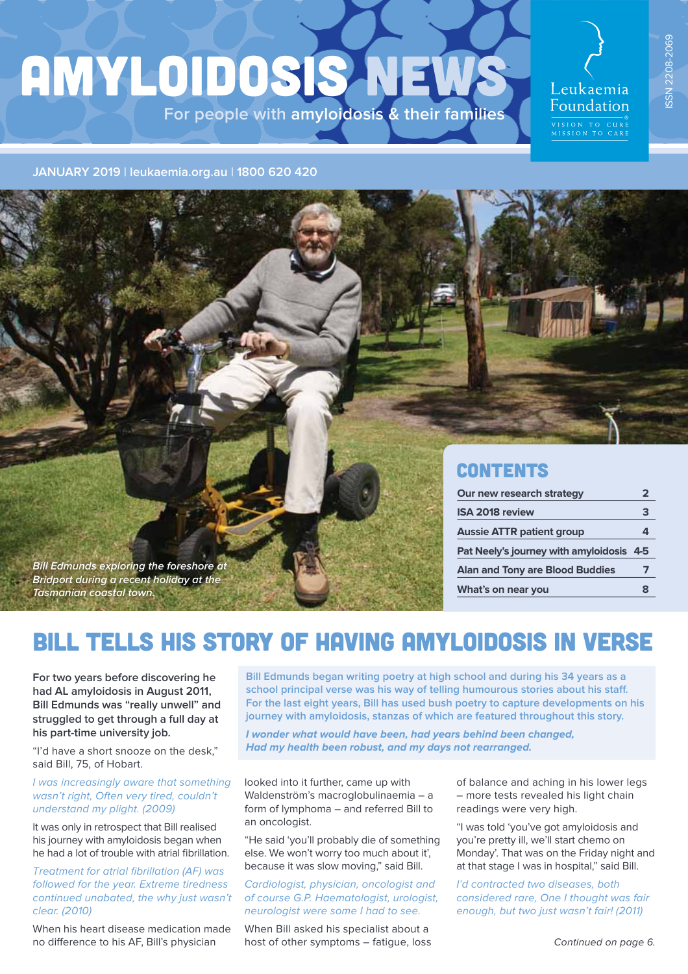# AMYLOIDOSIS NEWS **For people with amyloidosis & their families**

# Leukaemia Foundation

**JANUARY 2019 | leukaemia.org.au | 1800 620 420**



### **CONTENTS**

| Our new research strategy                | 2 |
|------------------------------------------|---|
| <b>ISA 2018 review</b>                   | 3 |
| <b>Aussie ATTR patient group</b>         |   |
| Pat Neely's journey with amyloidosis 4-5 |   |
| <b>Alan and Tony are Blood Buddies</b>   |   |
| What's on near you                       | 8 |

# BILL TELLS HIS STORY OF HAVING AMYLOIDOSIS IN VERSE

**For two years before discovering he had AL amyloidosis in August 2011, Bill Edmunds was "really unwell" and struggled to get through a full day at his part-time university job.**

**Bill Edmunds exploring the foreshore at Bridport during a recent holiday at the** 

**Tasmanian coastal town.**

"I'd have a short snooze on the desk," said Bill, 75, of Hobart.

#### I was increasingly aware that something wasn't right, Often very tired, couldn't understand my plight. (2009)

It was only in retrospect that Bill realised his journey with amyloidosis began when he had a lot of trouble with atrial fibrillation.

Treatment for atrial fibrillation (AF) was followed for the year. Extreme tiredness continued unabated, the why just wasn't clear. (2010)

When his heart disease medication made no diference to his AF, Bill's physician

**Bill Edmunds began writing poetry at high school and during his 34 years as a school principal verse was his way of telling humourous stories about his staf. For the last eight years, Bill has used bush poetry to capture developments on his journey with amyloidosis, stanzas of which are featured throughout this story.**

**I wonder what would have been, had years behind been changed, Had my health been robust, and my days not rearranged.**

looked into it further, came up with Waldenström's macroglobulinaemia – a form of lymphoma – and referred Bill to an oncologist.

"He said 'you'll probably die of something else. We won't worry too much about it', because it was slow moving," said Bill.

#### Cardiologist, physician, oncologist and of course G.P. Haematologist, urologist, neurologist were some I had to see.

When Bill asked his specialist about a host of other symptoms – fatigue, loss of balance and aching in his lower legs – more tests revealed his light chain readings were very high.

"I was told 'you've got amyloidosis and you're pretty ill, we'll start chemo on Monday'. That was on the Friday night and at that stage I was in hospital," said Bill.

I'd contracted two diseases, both considered rare, One I thought was fair enough, but two just wasn't fair! (2011)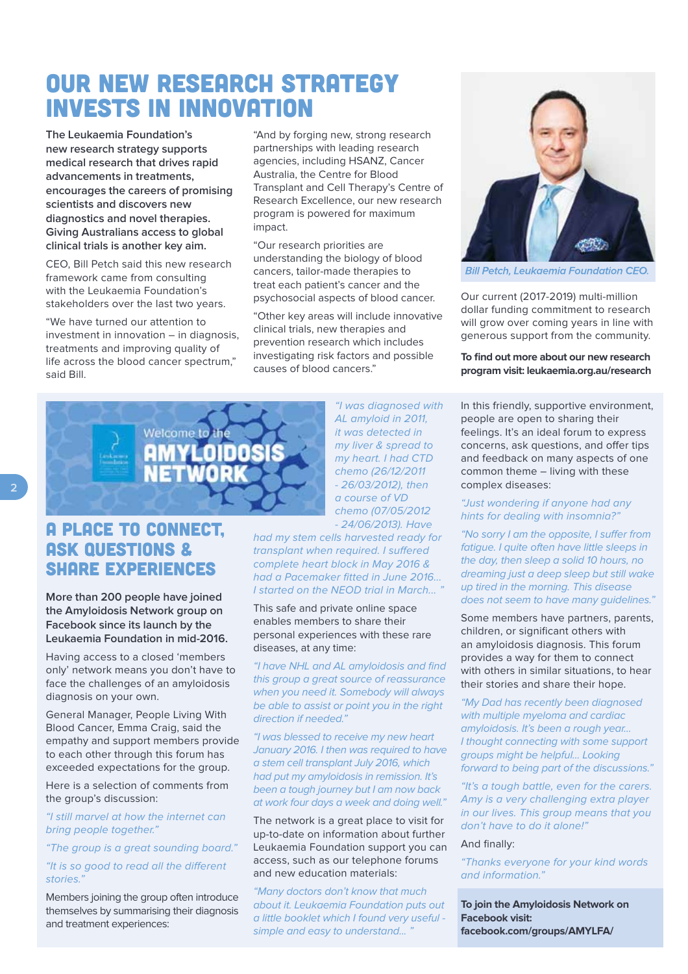### OUR NEW RESEARCH STRATEGY INVESTS IN INNOVATION

**The Leukaemia Foundation's new research strategy supports medical research that drives rapid advancements in treatments, encourages the careers of promising scientists and discovers new diagnostics and novel therapies. Giving Australians access to global clinical trials is another key aim.**

CEO, Bill Petch said this new research framework came from consulting with the Leukaemia Foundation's stakeholders over the last two years.

"We have turned our attention to investment in innovation – in diagnosis, treatments and improving quality of life across the blood cancer spectrum," said Bill.

"And by forging new, strong research partnerships with leading research agencies, including HSANZ, Cancer Australia, the Centre for Blood Transplant and Cell Therapy's Centre of Research Excellence, our new research program is powered for maximum impact.

"Our research priorities are understanding the biology of blood cancers, tailor-made therapies to treat each patient's cancer and the psychosocial aspects of blood cancer.

"Other key areas will include innovative clinical trials, new therapies and prevention research which includes investigating risk factors and possible causes of blood cancers."



### A PLACE TO CONNECT, ASK QUESTIONS & SHARE EXPERIENCES

**More than 200 people have joined the Amyloidosis Network group on Facebook since its launch by the Leukaemia Foundation in mid-2016.**

Having access to a closed 'members only' network means you don't have to face the challenges of an amyloidosis diagnosis on your own.

General Manager, People Living With Blood Cancer, Emma Craig, said the empathy and support members provide to each other through this forum has exceeded expectations for the group.

Here is a selection of comments from the group's discussion:

"I still marvel at how the internet can bring people together."

"The group is a great sounding board."

"It is so good to read all the diferent stories."

Members joining the group often introduce themselves by summarising their diagnosis and treatment experiences:

"I was diagnosed with AL amyloid in 2011, it was detected in my liver & spread to my heart. I had CTD chemo (26/12/2011 - 26/03/2012), then a course of VD chemo (07/05/2012 - 24/06/2013). Have

had my stem cells harvested ready for transplant when required. I sufered complete heart block in May 2016 & had a Pacemaker fitted in June 2016... I started on the NEOD trial in March...

This safe and private online space enables members to share their personal experiences with these rare diseases, at any time:

"I have NHL and AL amyloidosis and find this group a great source of reassurance when you need it. Somebody will always be able to assist or point you in the right direction if needed."

"I was blessed to receive my new heart January 2016. I then was required to have a stem cell transplant July 2016, which had put my amyloidosis in remission. It's been a tough journey but I am now back at work four days a week and doing well."

The network is a great place to visit for up-to-date on information about further Leukaemia Foundation support you can access, such as our telephone forums and new education materials:

"Many doctors don't know that much about it. Leukaemia Foundation puts out a little booklet which I found very useful simple and easy to understand...'



**Bill Petch, Leukaemia Foundation CEO.** 

Our current (2017-2019) multi-million dollar funding commitment to research will grow over coming years in line with generous support from the community.

**To find out more about our new research program visit: leukaemia.org.au/research**

In this friendly, supportive environment, people are open to sharing their feelings. It's an ideal forum to express concerns, ask questions, and offer tips and feedback on many aspects of one common theme – living with these complex diseases:

#### "Just wondering if anyone had any hints for dealing with insomnia?"

"No sorry I am the opposite, I suffer from fatigue. I quite often have little sleeps in the day, then sleep a solid 10 hours, no dreaming just a deep sleep but still wake up tired in the morning. This disease does not seem to have many guidelines."

Some members have partners, parents, children, or significant others with an amyloidosis diagnosis. This forum provides a way for them to connect with others in similar situations, to hear their stories and share their hope.

"My Dad has recently been diagnosed with multiple myeloma and cardiac amyloidosis. It's been a rough year... I thought connecting with some support groups might be helpful... Looking forward to being part of the discussions."

"It's a tough battle, even for the carers. Amy is a very challenging extra player in our lives. This group means that you don't have to do it alone!"

#### And finally:

"Thanks everyone for your kind words and information."

**To join the Amyloidosis Network on Facebook visit: facebook.com/groups/AMYLFA/**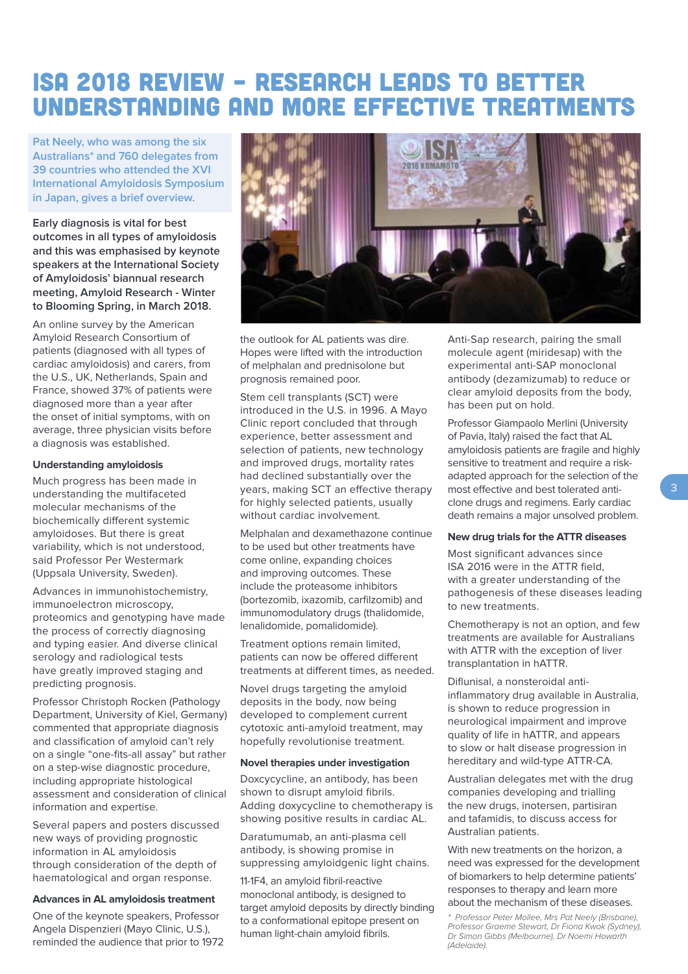## ISA 2018 review – RESEARCH LEADS TO BETTER UNDERSTANDING AND MORE EFFECTIVE TREATMENTS

**Pat Neely, who was among the six Australians\* and 760 delegates from 39 countries who attended the XVI International Amyloidosis Symposium in Japan, gives a brief overview.** 

**Early diagnosis is vital for best outcomes in all types of amyloidosis and this was emphasised by keynote speakers at the International Society of Amyloidosis' biannual research meeting, Amyloid Research - Winter to Blooming Spring, in March 2018.** 

An online survey by the American Amyloid Research Consortium of patients (diagnosed with all types of cardiac amyloidosis) and carers, from the U.S., UK, Netherlands, Spain and France, showed 37% of patients were diagnosed more than a year after the onset of initial symptoms, with on average, three physician visits before a diagnosis was established.

#### **Understanding amyloidosis**

Much progress has been made in understanding the multifaceted molecular mechanisms of the biochemically diferent systemic amyloidoses. But there is great variability, which is not understood, said Professor Per Westermark (Uppsala University, Sweden).

Advances in immunohistochemistry, immunoelectron microscopy, proteomics and genotyping have made the process of correctly diagnosing and typing easier. And diverse clinical serology and radiological tests have greatly improved staging and predicting prognosis.

Professor Christoph Rocken (Pathology Department, University of Kiel, Germany) commented that appropriate diagnosis and classification of amyloid can't rely on a single "one-fits-all assay" but rather on a step-wise diagnostic procedure, including appropriate histological assessment and consideration of clinical information and expertise.

Several papers and posters discussed new ways of providing prognostic information in AL amyloidosis through consideration of the depth of haematological and organ response.

#### **Advances in AL amyloidosis treatment**

One of the keynote speakers, Professor Angela Dispenzieri (Mayo Clinic, U.S.), reminded the audience that prior to 1972



the outlook for AL patients was dire. Hopes were lifted with the introduction of melphalan and prednisolone but prognosis remained poor.

Stem cell transplants (SCT) were **PhD scholarship from the**  introduced in the U.S. in 1996. A Mayo Clinic report concluded that through experience, better assessment and selection of patients, new technology and improved drugs, mortality rates **Sloan Kettering Cancer Center in**  had declined substantially over the **the U.S. to continue working in**  years, making SCT an efective therapy for highly selected patients, usually **the biggest discoveries are still yet**  without cardiac involvement.

**to be made".**  Melphalan and dexamethazone continue to be used but other treatments have come online, expanding choices and improving outcomes. These include the proteasome inhibitors (bortezomib, ixazomib, carfilzomib) and immunomodulatory drugs (thalidomide, lenalidomide, pomalidomide).

Treatment options remain limited, patients can now be ofered diferent treatments at diferent times, as needed.

Novel drugs targeting the amyloid deposits in the body, now being developed to complement current cytotoxic anti-amyloid treatment, may hopefully revolutionise treatment.

#### **Novel therapies under investigation**

Doxcycycline, an antibody, has been shown to disrupt amyloid fibrils. Adding doxycycline to chemotherapy is showing positive results in cardiac AL.

Daratumumab, an anti-plasma cell antibody, is showing promise in suppressing amyloidgenic light chains.

11-1F4, an amyloid fibril-reactive monoclonal antibody, is designed to target amyloid deposits by directly binding to a conformational epitope present on human light-chain amyloid fibrils.

Anti-Sap research, pairing the small molecule agent (miridesap) with the experimental anti-SAP monoclonal antibody (dezamizumab) to reduce or clear amyloid deposits from the body, has been put on hold.

Professor Giampaolo Merlini (University of Pavia, Italy) raised the fact that AL amyloidosis patients are fragile and highly sensitive to treatment and require a riskadapted approach for the selection of the most efective and best tolerated anticlone drugs and regimens. Early cardiac death remains a major unsolved problem.

#### **New drug trials for the ATTR diseases**

Most significant advances since ISA 2016 were in the ATTR field, with a greater understanding of the pathogenesis of these diseases leading to new treatments.

Chemotherapy is not an option, and few treatments are available for Australians with ATTR with the exception of liver transplantation in hATTR.

Diflunisal, a nonsteroidal antiinflammatory drug available in Australia, is shown to reduce progression in neurological impairment and improve quality of life in hATTR, and appears to slow or halt disease progression in hereditary and wild-type ATTR-CA.

Australian delegates met with the drug companies developing and trialling the new drugs, inotersen, partisiran and tafamidis, to discuss access for Australian patients.

With new treatments on the horizon, a need was expressed for the development of biomarkers to help determine patients' responses to therapy and learn more about the mechanism of these diseases.

\* Professor Peter Mollee, Mrs Pat Neely (Brisbane), Professor Graeme Stewart, Dr Fiona Kwok (Sydney), Dr Simon Gibbs (Melbourne), Dr Noemi Howarth (Adelaide).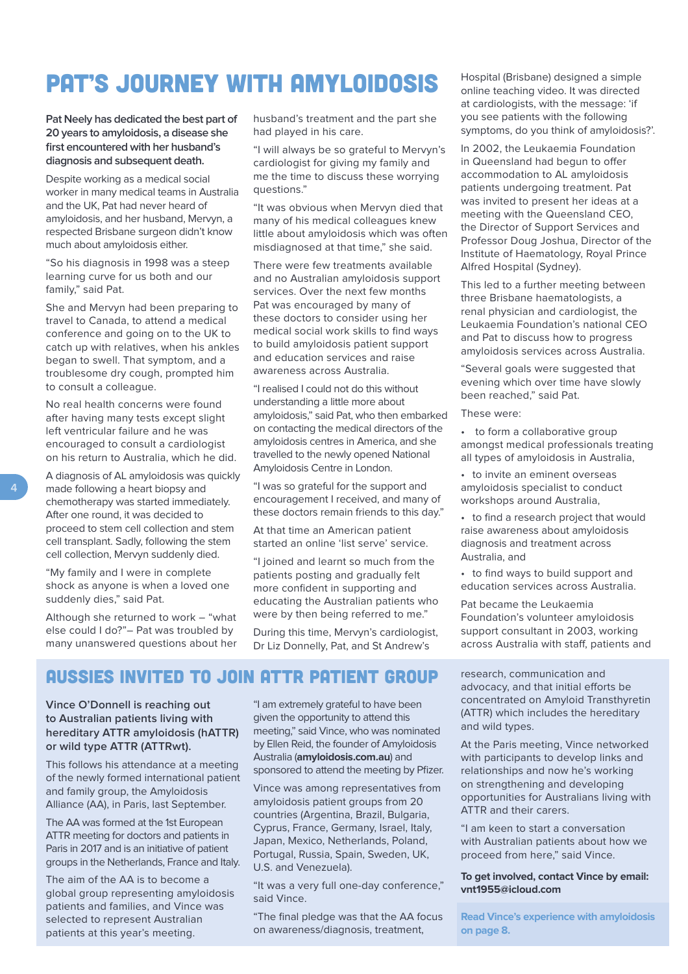# PAT'S JOURNEY WITH AMYLOIDOSIS

**Pat Neely has dedicated the best part of 20 years to amyloidosis, a disease she first encountered with her husband's diagnosis and subsequent death.**

Despite working as a medical social worker in many medical teams in Australia and the UK, Pat had never heard of amyloidosis, and her husband, Mervyn, a respected Brisbane surgeon didn't know much about amyloidosis either.

"So his diagnosis in 1998 was a steep learning curve for us both and our family," said Pat.

She and Mervyn had been preparing to travel to Canada, to attend a medical conference and going on to the UK to catch up with relatives, when his ankles began to swell. That symptom, and a troublesome dry cough, prompted him to consult a colleague.

No real health concerns were found after having many tests except slight left ventricular failure and he was encouraged to consult a cardiologist on his return to Australia, which he did.

A diagnosis of AL amyloidosis was quickly made following a heart biopsy and chemotherapy was started immediately. After one round, it was decided to proceed to stem cell collection and stem cell transplant. Sadly, following the stem cell collection, Mervyn suddenly died.

"My family and I were in complete shock as anyone is when a loved one suddenly dies," said Pat.

Although she returned to work – "what else could I do?"– Pat was troubled by many unanswered questions about her husband's treatment and the part she had played in his care.

"I will always be so grateful to Mervyn's cardiologist for giving my family and me the time to discuss these worrying questions."

"It was obvious when Mervyn died that many of his medical colleagues knew little about amyloidosis which was often misdiagnosed at that time," she said.

There were few treatments available and no Australian amyloidosis support services. Over the next few months Pat was encouraged by many of these doctors to consider using her medical social work skills to find ways to build amyloidosis patient support and education services and raise awareness across Australia.

"I realised I could not do this without understanding a little more about amyloidosis," said Pat, who then embarked on contacting the medical directors of the amyloidosis centres in America, and she travelled to the newly opened National Amyloidosis Centre in London.

"I was so grateful for the support and encouragement I received, and many of these doctors remain friends to this day."

At that time an American patient started an online 'list serve' service.

"I joined and learnt so much from the patients posting and gradually felt more confident in supporting and educating the Australian patients who were by then being referred to me."

During this time, Mervyn's cardiologist, Dr Liz Donnelly, Pat, and St Andrew's

### AUSSIES INVITED TO JOIN ATTR PATIENT GROUP

**Vince O'Donnell is reaching out to Australian patients living with hereditary ATTR amyloidosis (hATTR) or wild type ATTR (ATTRwt).**

This follows his attendance at a meeting of the newly formed international patient and family group, the Amyloidosis Alliance (AA), in Paris, last September.

The AA was formed at the 1st European ATTR meeting for doctors and patients in Paris in 2017 and is an initiative of patient groups in the Netherlands, France and Italy.

The aim of the AA is to become a global group representing amyloidosis patients and families, and Vince was selected to represent Australian patients at this year's meeting.

"I am extremely grateful to have been given the opportunity to attend this meeting," said Vince, who was nominated by Ellen Reid, the founder of Amyloidosis Australia (**amyloidosis.com.au**) and sponsored to attend the meeting by Pfizer.

Vince was among representatives from amyloidosis patient groups from 20 countries (Argentina, Brazil, Bulgaria, Cyprus, France, Germany, Israel, Italy, Japan, Mexico, Netherlands, Poland, Portugal, Russia, Spain, Sweden, UK, U.S. and Venezuela).

"It was a very full one-day conference," said Vince.

"The final pledge was that the AA focus on awareness/diagnosis, treatment,

Hospital (Brisbane) designed a simple online teaching video. It was directed at cardiologists, with the message: 'if you see patients with the following symptoms, do you think of amyloidosis?'.

In 2002, the Leukaemia Foundation in Queensland had begun to offer accommodation to AL amyloidosis patients undergoing treatment. Pat was invited to present her ideas at a meeting with the Queensland CEO, the Director of Support Services and Professor Doug Joshua, Director of the Institute of Haematology, Royal Prince Alfred Hospital (Sydney).

This led to a further meeting between three Brisbane haematologists, a renal physician and cardiologist, the Leukaemia Foundation's national CEO and Pat to discuss how to progress amyloidosis services across Australia.

"Several goals were suggested that evening which over time have slowly been reached," said Pat.

These were:

- to form a collaborative group amongst medical professionals treating all types of amyloidosis in Australia,
- to invite an eminent overseas amyloidosis specialist to conduct workshops around Australia,
- to find a research project that would raise awareness about amyloidosis diagnosis and treatment across Australia, and
- to find ways to build support and education services across Australia.

Pat became the Leukaemia Foundation's volunteer amyloidosis support consultant in 2003, working across Australia with staf, patients and

research, communication and advocacy, and that initial efforts be concentrated on Amyloid Transthyretin (ATTR) which includes the hereditary and wild types.

At the Paris meeting, Vince networked with participants to develop links and relationships and now he's working on strengthening and developing opportunities for Australians living with ATTR and their carers.

"I am keen to start a conversation with Australian patients about how we proceed from here," said Vince.

#### **To get involved, contact Vince by email: vnt1955@icloud.com**

**Read Vince's experience with amyloidosis on page 8.**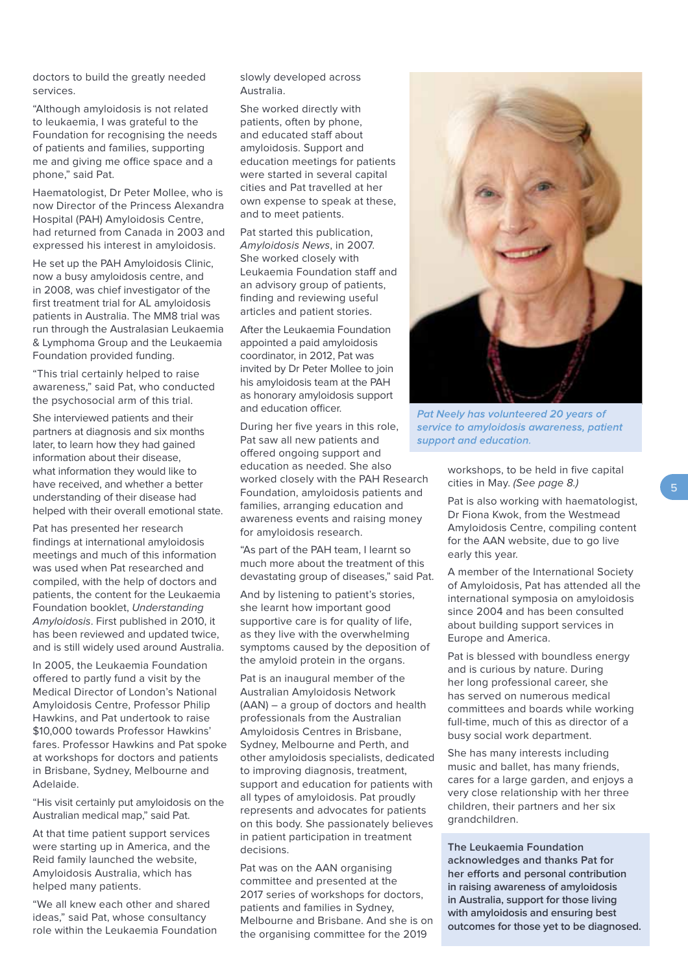doctors to build the greatly needed services.

"Although amyloidosis is not related to leukaemia, I was grateful to the Foundation for recognising the needs of patients and families, supporting me and giving me office space and a phone," said Pat.

Haematologist, Dr Peter Mollee, who is now Director of the Princess Alexandra Hospital (PAH) Amyloidosis Centre, had returned from Canada in 2003 and expressed his interest in amyloidosis.

He set up the PAH Amyloidosis Clinic, now a busy amyloidosis centre, and in 2008, was chief investigator of the first treatment trial for AL amyloidosis patients in Australia. The MM8 trial was run through the Australasian Leukaemia & Lymphoma Group and the Leukaemia Foundation provided funding.

"This trial certainly helped to raise awareness," said Pat, who conducted the psychosocial arm of this trial.

She interviewed patients and their partners at diagnosis and six months later, to learn how they had gained information about their disease, what information they would like to have received, and whether a better understanding of their disease had helped with their overall emotional state.

Pat has presented her research findings at international amyloidosis meetings and much of this information was used when Pat researched and compiled, with the help of doctors and patients, the content for the Leukaemia Foundation booklet, Understanding Amyloidosis. First published in 2010, it has been reviewed and updated twice, and is still widely used around Australia.

In 2005, the Leukaemia Foundation ofered to partly fund a visit by the Medical Director of London's National Amyloidosis Centre, Professor Philip Hawkins, and Pat undertook to raise \$10,000 towards Professor Hawkins' fares. Professor Hawkins and Pat spoke at workshops for doctors and patients in Brisbane, Sydney, Melbourne and Adelaide.

"His visit certainly put amyloidosis on the Australian medical map," said Pat.

At that time patient support services were starting up in America, and the Reid family launched the website, Amyloidosis Australia, which has helped many patients.

"We all knew each other and shared ideas," said Pat, whose consultancy role within the Leukaemia Foundation slowly developed across Australia.

She worked directly with patients, often by phone, and educated staff about amyloidosis. Support and education meetings for patients were started in several capital cities and Pat travelled at her own expense to speak at these, and to meet patients.

Pat started this publication, Amyloidosis News, in 2007. She worked closely with Leukaemia Foundation staff and an advisory group of patients, finding and reviewing useful articles and patient stories.

After the Leukaemia Foundation appointed a paid amyloidosis coordinator, in 2012, Pat was invited by Dr Peter Mollee to join his amyloidosis team at the PAH as honorary amyloidosis support and education officer.

During her five years in this role, Pat saw all new patients and ofered ongoing support and education as needed. She also worked closely with the PAH Research Foundation, amyloidosis patients and families, arranging education and awareness events and raising money for amyloidosis research.

"As part of the PAH team, I learnt so much more about the treatment of this devastating group of diseases," said Pat.

And by listening to patient's stories, she learnt how important good supportive care is for quality of life, as they live with the overwhelming symptoms caused by the deposition of the amyloid protein in the organs.

Pat is an inaugural member of the Australian Amyloidosis Network (AAN) – a group of doctors and health professionals from the Australian Amyloidosis Centres in Brisbane, Sydney, Melbourne and Perth, and other amyloidosis specialists, dedicated to improving diagnosis, treatment, support and education for patients with all types of amyloidosis. Pat proudly represents and advocates for patients on this body. She passionately believes in patient participation in treatment decisions.

Pat was on the AAN organising committee and presented at the 2017 series of workshops for doctors, patients and families in Sydney, Melbourne and Brisbane. And she is on the organising committee for the 2019



Pat Neely has volunteered 20 years of service to amyloidosis awareness, patient support and education.

workshops, to be held in five capital cities in May. (See page 8.)

Pat is also working with haematologist, Dr Fiona Kwok, from the Westmead Amyloidosis Centre, compiling content for the AAN website, due to go live early this year.

A member of the International Society of Amyloidosis, Pat has attended all the international symposia on amyloidosis since 2004 and has been consulted about building support services in Europe and America.

Pat is blessed with boundless energy and is curious by nature. During her long professional career, she has served on numerous medical committees and boards while working full-time, much of this as director of a busy social work department.

She has many interests including music and ballet, has many friends, cares for a large garden, and enjoys a very close relationship with her three children, their partners and her six grandchildren.

**The Leukaemia Foundation acknowledges and thanks Pat for her eforts and personal contribution in raising awareness of amyloidosis in Australia, support for those living with amyloidosis and ensuring best outcomes for those yet to be diagnosed.**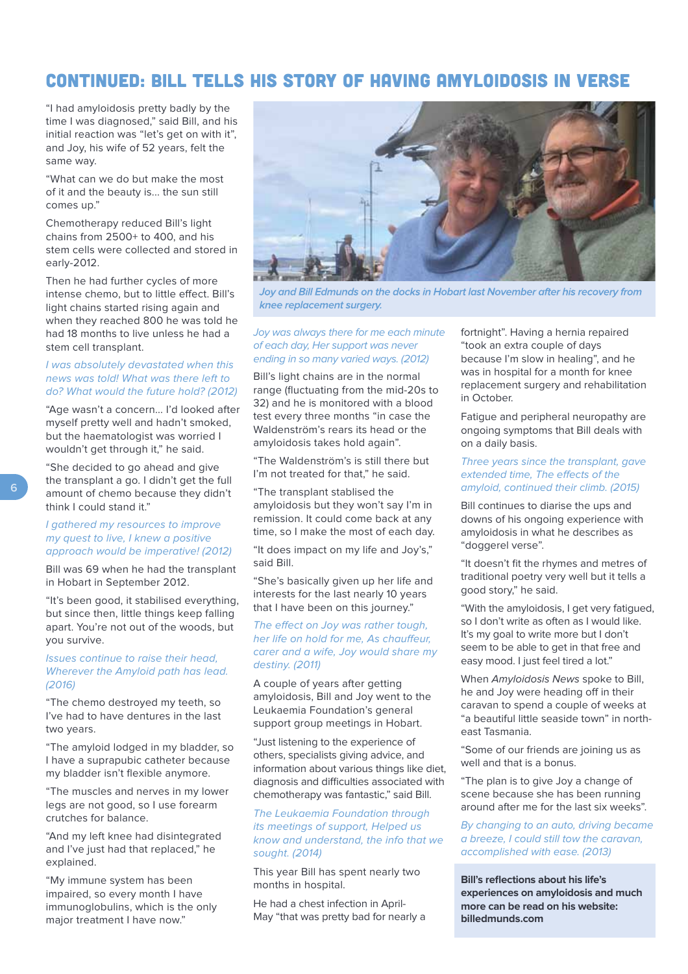### CONTINUED: BILL TELLS HIS STORY OF HAVING AMYLOIDOSIS IN VERSE

"I had amyloidosis pretty badly by the time I was diagnosed," said Bill, and his initial reaction was "let's get on with it", and Joy, his wife of 52 years, felt the same way.

"What can we do but make the most of it and the beauty is... the sun still comes up."

Chemotherapy reduced Bill's light chains from 2500+ to 400, and his stem cells were collected and stored in early-2012.

Then he had further cycles of more intense chemo, but to little effect. Bill's light chains started rising again and when they reached 800 he was told he had 18 months to live unless he had a stem cell transplant.

#### I was absolutely devastated when this news was told! What was there left to do? What would the future hold? (2012)

"Age wasn't a concern... I'd looked after myself pretty well and hadn't smoked, but the haematologist was worried I wouldn't get through it," he said.

"She decided to go ahead and give the transplant a go. I didn't get the full amount of chemo because they didn't think I could stand it."

#### I gathered my resources to improve my quest to live, I knew a positive approach would be imperative! (2012)

Bill was 69 when he had the transplant in Hobart in September 2012.

"It's been good, it stabilised everything, but since then, little things keep falling apart. You're not out of the woods, but you survive.

#### Issues continue to raise their head, Wherever the Amyloid path has lead. (2016)

"The chemo destroyed my teeth, so I've had to have dentures in the last two years.

"The amyloid lodged in my bladder, so I have a suprapubic catheter because my bladder isn't flexible anymore.

"The muscles and nerves in my lower legs are not good, so I use forearm crutches for balance.

"And my left knee had disintegrated and I've just had that replaced," he explained.

"My immune system has been impaired, so every month I have immunoglobulins, which is the only major treatment I have now."

![](_page_5_Picture_17.jpeg)

Joy and Bill Edmunds on the docks in Hobart last November after his recovery from knee replacement surgery.

#### Joy was always there for me each minute of each day, Her support was never ending in so many varied ways. (2012)

Bill's light chains are in the normal range (fluctuating from the mid-20s to 32) and he is monitored with a blood test every three months "in case the Waldenström's rears its head or the amyloidosis takes hold again".

"The Waldenström's is still there but I'm not treated for that," he said.

"The transplant stablised the amyloidosis but they won't say I'm in remission. It could come back at any time, so I make the most of each day.

"It does impact on my life and Joy's," said Bill.

"She's basically given up her life and interests for the last nearly 10 years that I have been on this journey."

#### The effect on Joy was rather tough, her life on hold for me, As chauffeur, carer and a wife, Joy would share my destiny. (2011)

A couple of years after getting amyloidosis, Bill and Joy went to the Leukaemia Foundation's general support group meetings in Hobart.

"Just listening to the experience of others, specialists giving advice, and information about various things like diet, diagnosis and difficulties associated with chemotherapy was fantastic," said Bill.

#### The Leukaemia Foundation through its meetings of support, Helped us know and understand, the info that we sought. (2014)

This year Bill has spent nearly two months in hospital.

He had a chest infection in April-May "that was pretty bad for nearly a fortnight". Having a hernia repaired "took an extra couple of days because I'm slow in healing", and he was in hospital for a month for knee replacement surgery and rehabilitation in October.

Fatigue and peripheral neuropathy are ongoing symptoms that Bill deals with on a daily basis.

#### Three years since the transplant, gave extended time. The effects of the amyloid, continued their climb. (2015)

Bill continues to diarise the ups and downs of his ongoing experience with amyloidosis in what he describes as "doggerel verse".

"It doesn't fit the rhymes and metres of traditional poetry very well but it tells a good story," he said.

"With the amyloidosis, I get very fatigued, so I don't write as often as I would like. It's my goal to write more but I don't seem to be able to get in that free and easy mood. I just feel tired a lot."

When Amyloidosis News spoke to Bill. he and Joy were heading off in their caravan to spend a couple of weeks at "a beautiful little seaside town" in northeast Tasmania.

"Some of our friends are joining us as well and that is a bonus.

"The plan is to give Joy a change of scene because she has been running around after me for the last six weeks".

By changing to an auto, driving became a breeze, I could still tow the caravan, accomplished with ease. (2013)

**Bill's reflections about his life's experiences on amyloidosis and much more can be read on his website: billedmunds.com**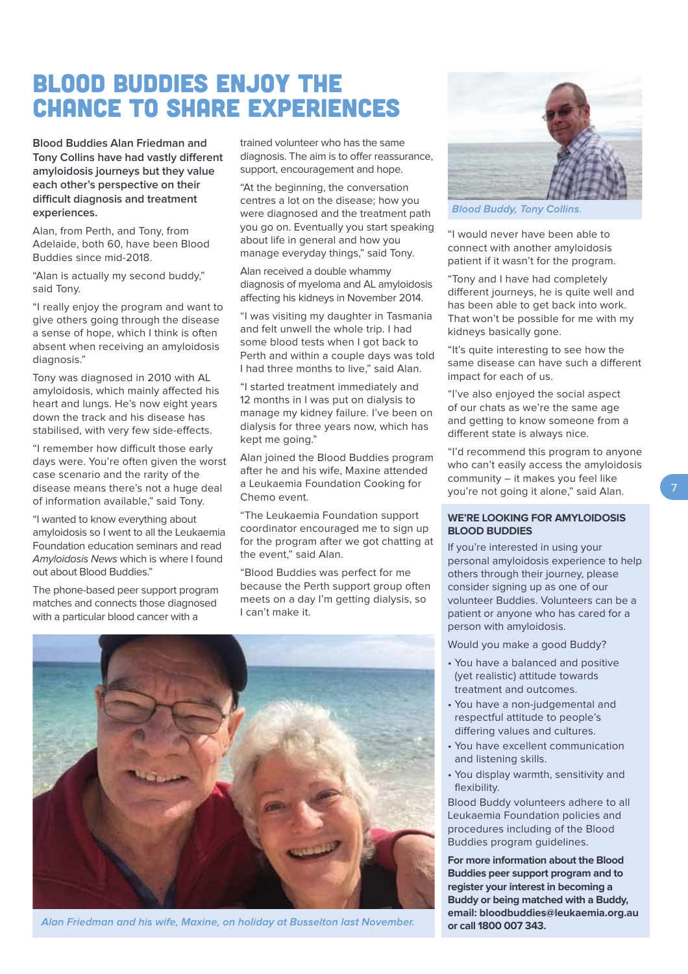### BLOOD BUDDIES ENJOY THE CHANCE TO SHARE EXPERIENCES

**Blood Buddies Alan Friedman and Tony Collins have had vastly diferent amyloidosis journeys but they value each other's perspective on their difcult diagnosis and treatment experiences.**

Alan, from Perth, and Tony, from Adelaide, both 60, have been Blood Buddies since mid-2018.

"Alan is actually my second buddy," said Tony.

"I really enjoy the program and want to give others going through the disease a sense of hope, which I think is often absent when receiving an amyloidosis diagnosis."

Tony was diagnosed in 2010 with AL amyloidosis, which mainly afected his heart and lungs. He's now eight years down the track and his disease has stabilised, with very few side-efects.

"I remember how difficult those early days were. You're often given the worst case scenario and the rarity of the disease means there's not a huge deal of information available," said Tony.

"I wanted to know everything about amyloidosis so I went to all the Leukaemia Foundation education seminars and read Amyloidosis News which is where I found out about Blood Buddies."

The phone-based peer support program matches and connects those diagnosed with a particular blood cancer with a

trained volunteer who has the same diagnosis. The aim is to offer reassurance, support, encouragement and hope.

"At the beginning, the conversation centres a lot on the disease; how you were diagnosed and the treatment path you go on. Eventually you start speaking about life in general and how you manage everyday things," said Tony.

Alan received a double whammy diagnosis of myeloma and AL amyloidosis afecting his kidneys in November 2014.

"I was visiting my daughter in Tasmania and felt unwell the whole trip. I had some blood tests when I got back to Perth and within a couple days was told I had three months to live," said Alan.

"I started treatment immediately and 12 months in I was put on dialysis to manage my kidney failure. I've been on dialysis for three years now, which has kept me going."

Alan joined the Blood Buddies program after he and his wife, Maxine attended a Leukaemia Foundation Cooking for Chemo event.

"The Leukaemia Foundation support coordinator encouraged me to sign up for the program after we got chatting at the event," said Alan.

"Blood Buddies was perfect for me because the Perth support group often meets on a day I'm getting dialysis, so I can't make it.

![](_page_6_Picture_17.jpeg)

**Blood Buddy, Tony Collins.** 

"I would never have been able to connect with another amyloidosis patient if it wasn't for the program.

"Tony and I have had completely diferent journeys, he is quite well and has been able to get back into work. That won't be possible for me with my kidneys basically gone.

"It's quite interesting to see how the same disease can have such a diferent impact for each of us.

"I've also enjoyed the social aspect of our chats as we're the same age and getting to know someone from a diferent state is always nice.

"I'd recommend this program to anyone who can't easily access the amyloidosis community – it makes you feel like you're not going it alone," said Alan.

#### **WE'RE LOOKING FOR AMYLOIDOSIS BLOOD BUDDIES**

If you're interested in using your personal amyloidosis experience to help others through their journey, please consider signing up as one of our volunteer Buddies. Volunteers can be a patient or anyone who has cared for a person with amyloidosis.

Would you make a good Buddy?

- You have a balanced and positive (yet realistic) attitude towards treatment and outcomes.
- . You have a non-judgemental and respectful attitude to people's difering values and cultures.
- You have excellent communication and listening skills.
- . You display warmth, sensitivity and flexibility.

Blood Buddy volunteers adhere to all Leukaemia Foundation policies and procedures including of the Blood Buddies program guidelines.

**For more information about the Blood Buddies peer support program and to register your interest in becoming a Buddy or being matched with a Buddy, email: bloodbuddies@leukaemia.org.au or call 1800 007 343.**

![](_page_6_Picture_33.jpeg)

Alan Friedman and his wife, Maxine, on holiday at Busselton last November.